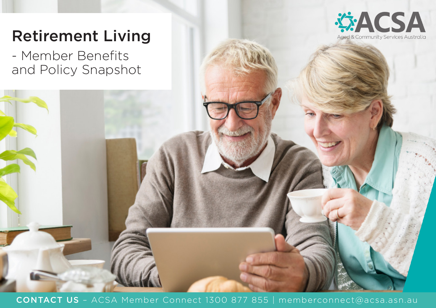

# Retirement Living

- Member Benefits and Policy Snapshot

CONTACT US – ACSA Member Connect 1300 877 855 | memberconnect@acsa.asn.au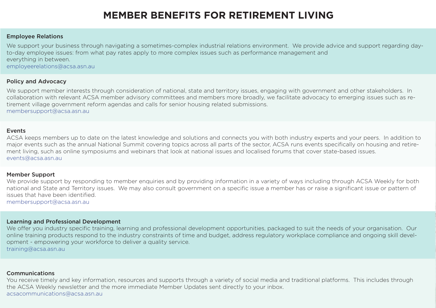## **MEMBER BENEFITS FOR RETIREMENT LIVING**

#### Employee Relations

We support your business through navigating a sometimes-complex industrial relations environment. We provide advice and support regarding dayto-day employee issues: from what pay rates apply to more complex issues such as performance management and everything in between. employeerelations@acsa.asn.au

### Policy and Advocacy

We support member interests through consideration of national, state and territory issues, engaging with government and other stakeholders. In collaboration with relevant ACSA member advisory committees and members more broadly, we facilitate advocacy to emerging issues such as retirement village government reform agendas and calls for senior housing related submissions. membersupport@acsa.asn.au

#### Events

ACSA keeps members up to date on the latest knowledge and solutions and connects you with both industry experts and your peers. In addition to major events such as the annual National Summit covering topics across all parts of the sector, ACSA runs events specifically on housing and retirement living, such as online symposiums and webinars that look at national issues and localised forums that cover state-based issues. events@acsa.asn.au

#### Member Support

We provide support by responding to member enquiries and by providing information in a variety of ways including through ACSA Weekly for both national and State and Territory issues. We may also consult government on a specific issue a member has or raise a significant issue or pattern of issues that have been identified.

membersupport@acsa.asn.au

#### Learning and Professional Development

We offer you industry specific training, learning and professional development opportunities, packaged to suit the needs of your organisation. Our online training products respond to the industry constraints of time and budget, address regulatory workplace compliance and ongoing skill development - empowering your workforce to deliver a quality service. training@acsa.asn.au

#### Communications

You receive timely and key information, resources and supports through a variety of social media and traditional platforms. This includes through the ACSA Weekly newsletter and the more immediate Member Updates sent directly to your inbox. acsacommunications@acsa.asn.au